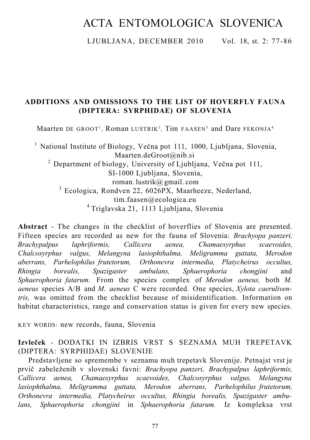# ACTA ENTOMOLOGICA SLOVENICA

LJUBLJANA, DECEMBER 2010 Vol. 18, st. 2: 77-86

## **ADDITIONS AND OMISSIONS TO THE LIST OF HOVERFLY FAUNA (DIPTERA: SYRPHIDAE) OF SLOVENIA**

Maarten DE GROOT<sup>1</sup>, Roman LUSTRIK<sup>2</sup>, Tim FAASEN<sup>3</sup> and Dare FEKONJA<sup>4</sup>

<sup>1</sup> National Institute of Biology, Večna pot 111, 1000, Ljubljana, Slovenia, [Maarten.deGroot@nib.si](mailto:Maarten.deGroot@nib.si)  <sup>2</sup> Department of biology, University of Ljubljana, Večna pot 111, SI-1000 Ljubljana, Slovenia, roman. lustrik@ gmail. com <sup>3</sup> Ecologica, Rondven 22, 6026PX, Maarheeze, Nederland, [tim.faasen@ecologica.eu](mailto:tim.faasen@ecologica.eu) 4 Triglavska 21, 1113 Ljubljana, Slovenia

**Abstract** - The changes in the checklist of hoverflies of Slovenia are presented. Fifteen species are recorded as new for the fauna of Slovenia: *Brachyopa panzeri, Brachypalpus laphriformis, Callicera aenea, Chamaesyrphus scaevoides, Chalcosyrphus valgus, Melangyna lasiophthalma, Meligramma guttata, Merodon aberrans, Parhelophilus frutetorum, Orthonevra intermedia, Platycheirus occultus, Rhingia borealis, Spazigaster ambulans, Sphaerophoria chongjini* and *Sphaerophoria fatarum.* From the species complex of *Merodon aeneus,* both *M. aeneus* species A/B and *M. aeneus* C were recorded. One species, *Xylota caeruliventris,* was omitted from the checklist because of misidentification. Information on habitat characteristics, range and conservation status is given for every new species.

KEY WORDS: new records, fauna, Slovenia

**Izvleček** - DODATKI IN IZBRIS VRST S SEZNAMA MUH TREPETAVK (DIPTERA: SYRPHIDAE) SLOVENIJE

Predstavljene so spremembe v seznamu muh trepetavk Slovenije. Petnajst vrst je prvič zabeleženih v slovenski favni: *Brachyopa panzeri, Brachypalpus laphriformis, Callicera aenea, Chamaesyrphus scaevoides, Chalcosyrphus valgus, Melangyna lasiophthalma, Meligramma guttata, Merodon aberrans, Parhelophilus frutetorum, Orthonevra intermedia, Platycheirus occultus, Rhingia borealis, Spazigaster ambulans, Sphaerophoria chongjini* in *Sphaerophoria fatarum.* Iz kompleksa vrst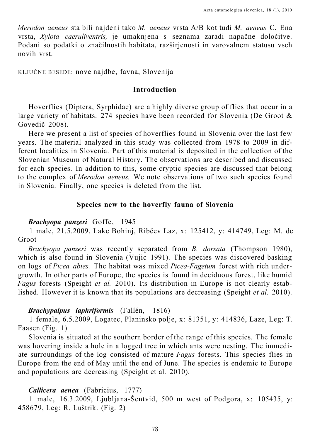*Merodon aeneus* sta bili najdeni tako *M. aeneus* vrsta A/B kot tudi *M. aeneus* C. Ena vrsta, *Xylota caeruliventris,* je umaknjena s seznama zaradi napačne določitve. Podani so podatki o značilnostih habitata, razširjenosti in varovalnem statusu vseh novih vrst.

KLJUČNE BESEDE: nove najdbe, favna, Slovenija

#### **Introduction**

Hoverflies (Diptera, Syrphidae) are a highly diverse group of flies that occur in a large variety of habitats. 274 species have been recorded for Slovenia (De Groot & Govedič 2008).

Here we present a list of species of hoverflies found in Slovenia over the last few years. The material analyzed in this study was collected from 1978 to 2009 in different localities in Slovenia. Part of this material is deposited in the collection of the Slovenian Museum of Natural History. The observations are described and discussed for each species. In addition to this, some cryptic species are discussed that belong to the complex of *Merodon aeneus.* We note observations of two such species found in Slovenia. Finally, one species is deleted from the list.

#### **Species new to the hoverfly fauna of Slovenia**

#### *Brachyopa panzeri* Goffe, 1945

1 male, 21.5.2009, Lake Bohinj, Ribčev Laz, x: 125412, y: 414749, Leg: M. de Groot

*Brachyopa panzeri* was recently separated from *B. dorsata* (Thompson 1980), which is also found in Slovenia (Vujic 1991). The species was discovered basking on logs of *Picea abies.* The habitat was mixed *Picea-Fagetum* forest with rich undergrowth. In other parts of Europe, the species is found in deciduous forest, like humid *Fagus* forests (Speight *et al.* 2010). Its distribution in Europe is not clearly established. However it is known that its populations are decreasing (Speight *et al.* 2010).

## *Brachypalpus laphriformis* (Fallén, 1816)

1 female, 6.5.2009, Logatec, Planinsko polje, x: 81351, y: 414836, Laze, Leg: T. Faasen (Fig. 1)

Slovenia is situated at the southern border of the range of this species. The female was hovering inside a hole in a logged tree in which ants were nesting. The immediate surroundings of the log consisted of mature *Fagus* forests. This species flies in Europe from the end of May until the end of June. The species is endemic to Europe and populations are decreasing (Speight et al. 2010).

## *Callicera aenea* (Fabricius, 1777)

1 male, 16.3.2009, Ljubljana-Šentvid, 500 m west of Podgora, x: 105435, y: 458679, Leg: R. Luštrik. (Fig. 2)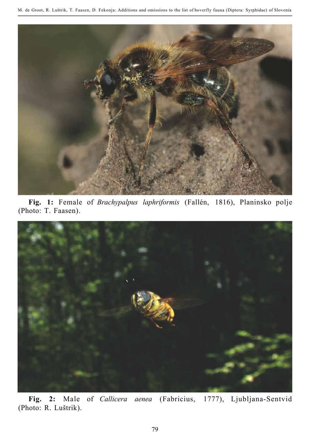

**Fig. 1:** Female of *Brachypalpus laphriformis* (Fallén, 1816), Planinsko polje (Photo: T. Faasen).



**Fig. 2:** Male of *Callicera aenea* (Fabricius, 1777), Ljubljana-Sentvid (Photo: R. Luštrik).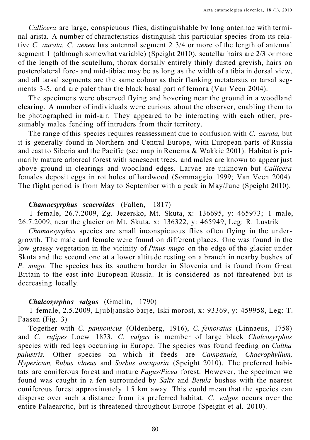*Callicera* are large, conspicuous flies, distinguishable by long antennae with terminal arista. A number of characteristics distinguish this particular species from its relative *C. aurata. C. aenea* has antennal segment 2 3/4 or more of the length of antennal segment 1 (although somewhat variable) (Speight 2010), scutellar hairs are 2/3 or more of the length of the scutellum, thorax dorsally entirely thinly dusted greyish, hairs on posterolateral fore- and mid-tibiae may be as long as the width of a tibia in dorsal view, and all tarsal segments are the same colour as their flanking metatarsus or tarsal segments 3-5, and are paler than the black basal part of femora (Van Veen 2004).

The specimens were observed flying and hovering near the ground in a woodland clearing. A number of individuals were curious about the observer, enabling them to be photographed in mid-air. They appeared to be interacting with each other, presumably males fending off intruders from their territory.

The range of this species requires reassessment due to confusion with *C. aurata,* but it is generally found in Northern and Central Europe, with European parts of Russia and east to Siberia and the Pacific (see map in Renema & Wakkie 2001). Habitat is primarily mature arboreal forest with senescent trees, and males are known to appear just above ground in clearings and woodland edges. Larvae are unknown but *Callicera*  females deposit eggs in rot holes of hardwood (Sommaggio 1999; Van Veen 2004). The flight period is from May to September with a peak in May/June (Speight 2010).

## *Chamaesyrphus scaevoides* (Fallen, 1817)

1 female, 26.7.2009, Zg. Jezersko, Mt. Skuta, x: 136695, y: 465973; 1 male, 26.7.2009, near the glacier on Mt. Skuta, x: 136322, y: 465949, Leg: R. Lustrik

*Chamaesyrphus* species are small inconspicuous flies often flying in the undergrowth. The male and female were found on different places. One was found in the low grassy vegetation in the vicinity of *Pinus mugo* on the edge of the glacier under Skuta and the second one at a lower altitude resting on a branch in nearby bushes of *P. mugo.* The species has its southern border in Slovenia and is found from Great Britain to the east into European Russia. It is considered as not threatened but is decreasing locally.

## *Chalcosyrphus valgus* (Gmelin, 1790)

1 female, 2.5.2009, Ljubljansko barje, Iski morost, x: 93369, y: 459958, Leg: T. Faasen (Fig. 3)

Together with *C. pannonicus* (Oldenberg, 1916), *C. femoratus* (Linnaeus, 1758) and *C. rufipes* Loew 1873, *C. valgus* is member of large black *Chalcosyrphus*  species with red legs occurring in Europe. The species was found feeding on *Caltha palustris.* Other species on which it feeds are *Campanula, Chaerophyllum, Hypericum, Rubus idaeus* and *Sorbus aucuparia* (Speight 2010). The preferred habitats are coniferous forest and mature *Fagus/Picea* forest. However, the specimen we found was caught in a fen surrounded by *Salix* and *Betula* bushes with the nearest coniferous forest approximately 1.5 km away. This could mean that the species can disperse over such a distance from its preferred habitat. *C. valgus* occurs over the entire Palaearctic, but is threatened throughout Europe (Speight et al. 2010).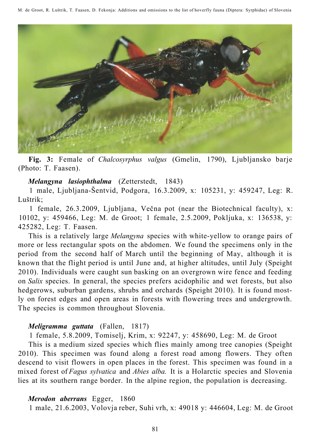M. de Groot, R. Luštrik, T. Faasen, D. Fekonja: Additions and omissions to the list of hoverfly fauna (Diptera: Syrphidae) of Slovenia



**Fig. 3:** Female of *Chalcosyrphus valgus* (Gmelin, 1790), Ljubljansko barje (Photo: T. Faasen).

## *Melangyna lasiophthalma* (Zetterstedt, 1843)

1 male, Ljubljana-Šentvid, Podgora, 16.3.2009, x: 105231, y: 459247, Leg: R. Luštrik;

1 female, 26.3.2009, Ljubljana, Večna pot (near the Biotechnical faculty), x: 10102, y: 459466, Leg: M. de Groot; 1 female, 2.5.2009, Pokljuka, x: 136538, y: 425282, Leg: T. Faasen.

This is a relatively large *Melangyna* species with white-yellow to orange pairs of more or less rectangular spots on the abdomen. We found the specimens only in the period from the second half of March until the beginning of May, although it is known that the flight period is until June and, at higher altitudes, until July (Speight 2010). Individuals were caught sun basking on an overgrown wire fence and feeding on *Salix* species. In general, the species prefers acidophilic and wet forests, but also hedgerows, suburban gardens, shrubs and orchards (Speight 2010). It is found mostly on forest edges and open areas in forests with flowering trees and undergrowth. The species is common throughout Slovenia.

## *Meligramma guttata* (Fallen, 1817)

1 female, 5.8.2009, Tomiselj, Krim, x: 92247, y: 458690, Leg: M. de Groot

This is a medium sized species which flies mainly among tree canopies (Speight 2010). This specimen was found along a forest road among flowers. They often descend to visit flowers in open places in the forest. This specimen was found in a mixed forest of *Fagus sylvatica* and *Abies alba.* It is a Holarctic species and Slovenia lies at its southern range border. In the alpine region, the population is decreasing.

## *Merodon aberrans* Egger, 1860

1 male, 21.6.2003, Volovja reber, Suhi vrh, x: 49018 y: 446604, Leg: M. de Groot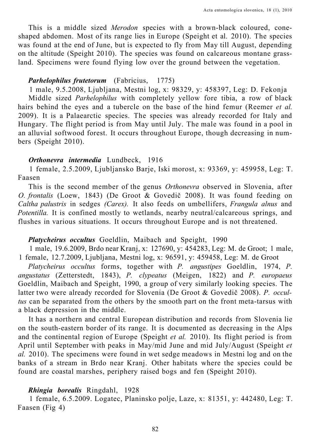This is a middle sized *Merodon* species with a brown-black coloured, coneshaped abdomen. Most of its range lies in Europe (Speight et al. 2010). The species was found at the end of June, but is expected to fly from May till August, depending on the altitude (Speight 2010). The species was found on calcareous montane grassland. Specimens were found flying low over the ground between the vegetation.

### *Parhelophilus frutetorum* (Fabricius, 1775)

1 male, 9.5.2008, Ljubljana, Mestni log, x: 98329, y: 458397, Leg: D. Fekonja Middle sized *Parhelophilus* with completely yellow fore tibia, a row of black hairs behind the eyes and a tubercle on the base of the hind femur (Reemer *et al.*  2009). It is a Palaearctic species. The species was already recorded for Italy and Hungary. The flight period is from May until July. The male was found in a pool in an alluvial softwood forest. It occurs throughout Europe, though decreasing in numbers (Speight 2010).

#### *Orthonevra intermedia* Lundbeck, 1916

1 female, 2.5.2009, Ljubljansko Barje, Iski morost, x: 93369, y: 459958, Leg: T. Faasen

This is the second member of the genus *Orthonevra* observed in Slovenia, after *O. frontalis* (Loew, 1843) (De Groot & Govedič 2008). It was found feeding on *Caltha palustris* in sedges *(Carex).* It also feeds on umbellifers, *Frangula alnus* and *Potentilla.* It is confined mostly to wetlands, nearby neutral/calcareous springs, and flushes in various situations. It occurs throughout Europe and is not threatened.

#### *Platycheirus occultus* Goeldlin, Maibach and Speight, 1990

1 male, 19.6.2009, Brdo near Kranj, x: 127690, y: 454283, Leg: M. de Groot; 1 male, 1 female, 12.7.2009, Ljubljana, Mestni log, x: 96591, y: 459458, Leg: M. de Groot

*Platycheirus occultus* forms, together with *P. angustipes* Goeldlin, 1974, *P. angustatus* (Zetterstedt, 1843), *P. clypeatus* (Meigen, 1822) and *P. europaeus*  Goeldlin, Maibach and Speight, 1990, a group of very similarly looking species. The latter two were already recorded for Slovenia (De Groot & Govedič 2008). *P. occultus* can be separated from the others by the smooth part on the front meta-tarsus with a black depression in the middle.

It has a northern and central European distribution and records from Slovenia lie on the south-eastern border of its range. It is documented as decreasing in the Alps and the continental region of Europe (Speight *et al.* 2010). Its flight period is from April until September with peaks in May/mid June and mid July/August (Speight *et al.* 2010). The specimens were found in wet sedge meadows in Mestni log and on the banks of a stream in Brdo near Kranj. Other habitats where the species could be found are coastal marshes, periphery raised bogs and fen (Speight 2010).

#### *Rhingia borealis* Ringdahl, 1928

1 female, 6.5.2009. Logatec, Planinsko polje, Laze, x: 81351, y: 442480, Leg: T. Faasen (Fig 4)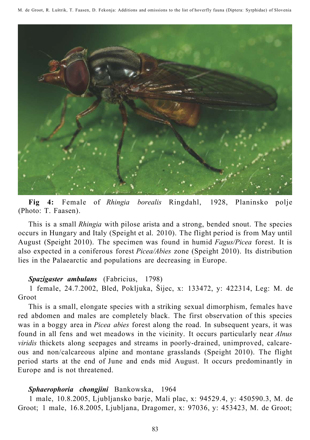M. de Groot, R. Luštrik, T. Faasen, D. Fekonja: Additions and omissions to the list of hoverfly fauna (Diptera: Syrphidae) of Slovenia



**Fig 4:** Female of *Rhingia borealis* Ringdahl, 1928, Planinsko polje (Photo: T. Faasen).

This is a small *Rhingia* with pilose arista and a strong, bended snout. The species occurs in Hungary and Italy (Speight et al. 2010). The flight period is from May until August (Speight 2010). The specimen was found in humid *Fagus/Picea* forest. It is also expected in a coniferous forest *Picea/Abies* zone (Speight 2010). Its distribution lies in the Palaearctic and populations are decreasing in Europe.

#### *Spazigaster ambulans* (Fabricius, 1798)

1 female, 24.7.2002, Bled, Pokljuka, Šijec, x: 133472, y: 422314, Leg: M. de Groot

This is a small, elongate species with a striking sexual dimorphism, females have red abdomen and males are completely black. The first observation of this species was in a boggy area in *Picea abies* forest along the road. In subsequent years, it was found in all fens and wet meadows in the vicinity. It occurs particularly near *Alnus viridis* thickets along seepages and streams in poorly-drained, unimproved, calcareous and non/calcareous alpine and montane grasslands (Speight 2010). The flight period starts at the end of June and ends mid August. It occurs predominantly in Europe and is not threatened.

## *Sphaerophoria chongjini* Bankowska, 1964

1 male, 10.8.2005, Ljubljansko barje, Mali plac, x: 94529.4, y: 450590.3, M. de Groot; 1 male, 16.8.2005, Ljubljana, Dragomer, x: 97036, y: 453423, M. de Groot;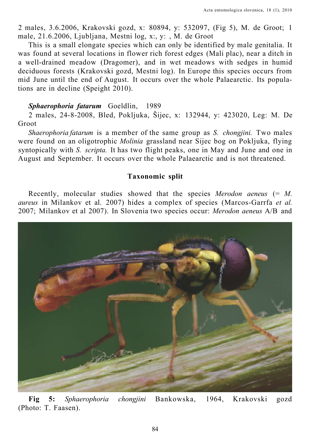2 males, 3.6.2006, Krakovski gozd, x: 80894, y: 532097, (Fig 5), M. de Groot; 1 male, 21.6.2006, Ljubljana, Mestni log, x:, y: , M. de Groot

This is a small elongate species which can only be identified by male genitalia. It was found at several locations in flower rich forest edges (Mali plac), near a ditch in a well-drained meadow (Dragomer), and in wet meadows with sedges in humid deciduous forests (Krakovski gozd, Mestni log). In Europe this species occurs from mid June until the end of August. It occurs over the whole Palaearctic. Its populations are in decline (Speight 2010).

#### *Sphaerophoria fatarum* Goeldlin, 1989

2 males, 24-8-2008, Bled, Pokljuka, Šijec, x: 132944, y: 423020, Leg: M. De Groot

*Shaerophoria fatarum* is a member of the same group as *S. chongjini.* Two males were found on an oligotrophic *Molinia* grassland near Sijec bog on Pokljuka, flying syntopically with *S. scripta.* It has two flight peaks, one in May and June and one in August and September. It occurs over the whole Palaearctic and is not threatened.

#### **Taxonomic split**

Recently, molecular studies showed that the species *Merodon aeneus* (= *M. aureus* in Milankov et al. 2007) hides a complex of species (Marcos-Garrfa *et al.*  2007; Milankov et al 2007). In Slovenia two species occur: *Merodon aeneus* A/B and



**Fig 5:** *Sphaerophoria chongjini* Bankowska, 1964, Krakovski gozd (Photo: T. Faasen).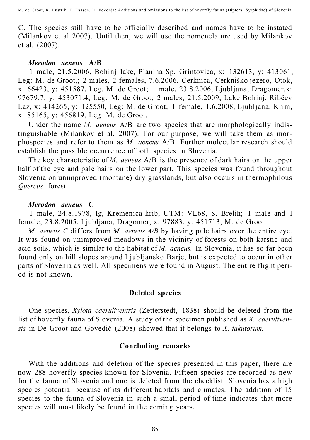C. The species still have to be officially described and names have to be instated (Milankov et al 2007). Until then, we will use the nomenclature used by Milankov et al. (2007).

#### *Merodon aeneus* **A/B**

1 male, 21.5.2006, Bohinj lake, Planina Sp. Grintovica, x: 132613, y: 413061, Leg: M. de Groot,; 2 males, 2 females, 7.6.2006, Cerknica, Cerkniško jezero, Otok, x: 66423, y: 451587, Leg. M. de Groot; 1 male, 23.8.2006, Ljubljana, Dragomer,x: 97679.7, y: 453071.4, Leg: M. de Groot; 2 males, 21.5.2009, Lake Bohinj, Ribčev Laz, x: 414265, y: 125550, Leg: M. de Groot; 1 female, 1.6.2008, Ljubljana, Krim, x: 85165, y: 456819, Leg. M. de Groot.

Under the name *M. aeneus* A/B are two species that are morphologically indistinguishable (Milankov et al. 2007). For our purpose, we will take them as morphospecies and refer to them as *M. aeneus* A/B. Further molecular research should establish the possible occurrence of both species in Slovenia.

The key characteristic of *M. aeneus* A/B is the presence of dark hairs on the upper half of the eye and pale hairs on the lower part. This species was found throughout Slovenia on unimproved (montane) dry grasslands, but also occurs in thermophilous *Quercus* forest.

#### *Merodon aeneus* **C**

1 male, 24.8.1978, Ig, Kremenica hrib, UTM: VL68, S. Brelih; 1 male and 1 female, 23.8.2005, Ljubljana, Dragomer, x: 97883, y: 451713, M. de Groot

*M. aeneus C* differs from *M. aeneus A/B* by having pale hairs over the entire eye. It was found on unimproved meadows in the vicinity of forests on both karstic and acid soils, which is similar to the habitat of *M. aeneus.* In Slovenia, it has so far been found only on hill slopes around Ljubljansko Barje, but is expected to occur in other parts of Slovenia as well. All specimens were found in August. The entire flight period is not known.

### **Deleted species**

One species, *Xylota caeruliventris* (Zetterstedt, 1838) should be deleted from the list of hoverfly fauna of Slovenia. A study of the specimen published as *X. caerulivensis* in De Groot and Govedič (2008) showed that it belongs to *X. jakutorum.* 

#### **Concluding remarks**

With the additions and deletion of the species presented in this paper, there are now 288 hoverfly species known for Slovenia. Fifteen species are recorded as new for the fauna of Slovenia and one is deleted from the checklist. Slovenia has a high species potential because of its different habitats and climates. The addition of 15 species to the fauna of Slovenia in such a small period of time indicates that more species will most likely be found in the coming years.